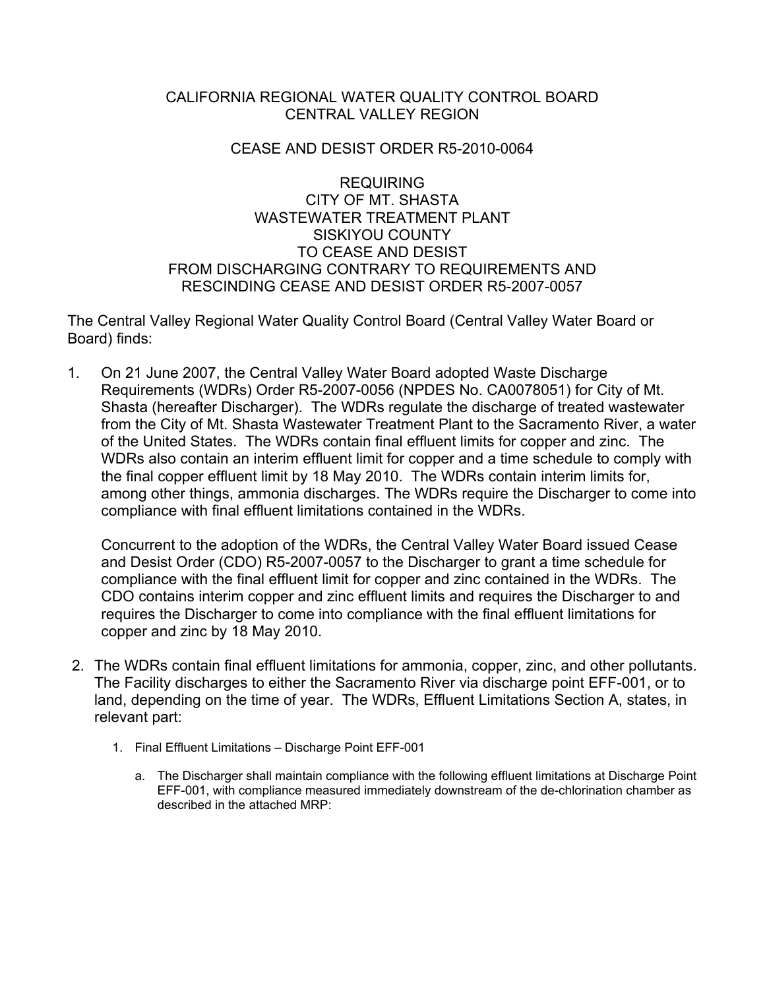# CALIFORNIA REGIONAL WATER QUALITY CONTROL BOARD CENTRAL VALLEY REGION

### CEASE AND DESIST ORDER R5-2010-0064

REQUIRING CITY OF MT. SHASTA WASTEWATER TREATMENT PLANT SISKIYOU COUNTY TO CEASE AND DESIST FROM DISCHARGING CONTRARY TO REQUIREMENTS AND RESCINDING CEASE AND DESIST ORDER R5-2007-0057

The Central Valley Regional Water Quality Control Board (Central Valley Water Board or Board) finds:

1. On 21 June 2007, the Central Valley Water Board adopted Waste Discharge Requirements (WDRs) Order R5-2007-0056 (NPDES No. CA0078051) for City of Mt. Shasta (hereafter Discharger). The WDRs regulate the discharge of treated wastewater from the City of Mt. Shasta Wastewater Treatment Plant to the Sacramento River, a water of the United States. The WDRs contain final effluent limits for copper and zinc. The WDRs also contain an interim effluent limit for copper and a time schedule to comply with the final copper effluent limit by 18 May 2010. The WDRs contain interim limits for, among other things, ammonia discharges. The WDRs require the Discharger to come into compliance with final effluent limitations contained in the WDRs.

 Concurrent to the adoption of the WDRs, the Central Valley Water Board issued Cease and Desist Order (CDO) R5-2007-0057 to the Discharger to grant a time schedule for compliance with the final effluent limit for copper and zinc contained in the WDRs. The CDO contains interim copper and zinc effluent limits and requires the Discharger to and requires the Discharger to come into compliance with the final effluent limitations for copper and zinc by 18 May 2010.

- 2. The WDRs contain final effluent limitations for ammonia, copper, zinc, and other pollutants. The Facility discharges to either the Sacramento River via discharge point EFF-001, or to land, depending on the time of year. The WDRs, Effluent Limitations Section A, states, in relevant part:
	- 1. Final Effluent Limitations Discharge Point EFF-001
		- a. The Discharger shall maintain compliance with the following effluent limitations at Discharge Point EFF-001, with compliance measured immediately downstream of the de-chlorination chamber as described in the attached MRP: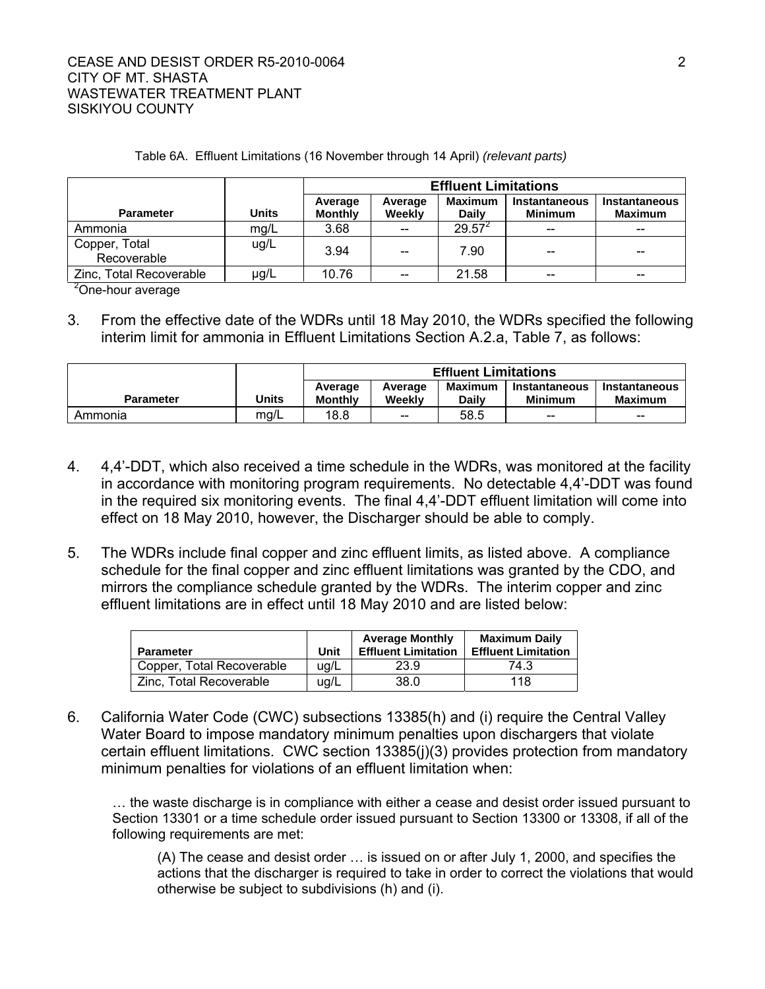### CEASE AND DESIST ORDER R5-2010-0064 2 CITY OF MT. SHASTA WASTEWATER TREATMENT PLANT SISKIYOU COUNTY

#### Table 6A. Effluent Limitations (16 November through 14 April) *(relevant parts)*

|                              |       | <b>Effluent Limitations</b> |                                                |                                |                                        |                                        |  |
|------------------------------|-------|-----------------------------|------------------------------------------------|--------------------------------|----------------------------------------|----------------------------------------|--|
| <b>Parameter</b>             | Units | Average<br><b>Monthly</b>   | Average<br>Weekly                              | <b>Maximum</b><br><b>Daily</b> | <b>Instantaneous</b><br><b>Minimum</b> | <b>Instantaneous</b><br><b>Maximum</b> |  |
| Ammonia                      | mg/L  | 3.68                        | $\overline{\phantom{m}}$                       | $29.57^2$                      | $- -$                                  | $-$                                    |  |
| Copper, Total<br>Recoverable | ug/L  | 3.94                        | $- -$                                          | 7.90                           | --                                     |                                        |  |
| Zinc, Total Recoverable      | µg/L  | 10.76                       | $\hspace{0.1mm}-\hspace{0.1mm}-\hspace{0.1mm}$ | 21.58                          | $\hspace{0.05cm}$ – $\hspace{0.05cm}$  | $- -$                                  |  |
| $2000$ hour overage          |       |                             |                                                |                                |                                        |                                        |  |

<sup>2</sup>One-hour average

3. From the effective date of the WDRs until 18 May 2010, the WDRs specified the following interim limit for ammonia in Effluent Limitations Section A.2.a, Table 7, as follows:

|                  |       | <b>Effluent Limitations</b> |                                       |                                |                                                |                                 |
|------------------|-------|-----------------------------|---------------------------------------|--------------------------------|------------------------------------------------|---------------------------------|
| <b>Parameter</b> | Units | Average<br><b>Monthly</b>   | Average<br>Weekly                     | <b>Maximum</b><br><b>Daily</b> | Instantaneous<br><b>Minimum</b>                | Instantaneous<br><b>Maximum</b> |
| Ammonia          | mg/L  | 18.8                        | $\hspace{0.05cm}$ – $\hspace{0.05cm}$ | 58.5                           | $\hspace{0.1mm}-\hspace{0.1mm}-\hspace{0.1mm}$ | $- -$                           |

- 4. 4,4'-DDT, which also received a time schedule in the WDRs, was monitored at the facility in accordance with monitoring program requirements. No detectable 4,4'-DDT was found in the required six monitoring events. The final 4,4'-DDT effluent limitation will come into effect on 18 May 2010, however, the Discharger should be able to comply.
- 5. The WDRs include final copper and zinc effluent limits, as listed above. A compliance schedule for the final copper and zinc effluent limitations was granted by the CDO, and mirrors the compliance schedule granted by the WDRs. The interim copper and zinc effluent limitations are in effect until 18 May 2010 and are listed below:

| <b>Parameter</b>          | Unit | <b>Average Monthly</b><br><b>Effluent Limitation</b> | <b>Maximum Daily</b><br><b>Effluent Limitation</b> |
|---------------------------|------|------------------------------------------------------|----------------------------------------------------|
| Copper, Total Recoverable | ug/L | 23.9                                                 | 74.3                                               |
| Zinc, Total Recoverable   | uq/L | 38.0                                                 | 118                                                |

6. California Water Code (CWC) subsections 13385(h) and (i) require the Central Valley Water Board to impose mandatory minimum penalties upon dischargers that violate certain effluent limitations. CWC section 13385(j)(3) provides protection from mandatory minimum penalties for violations of an effluent limitation when:

… the waste discharge is in compliance with either a cease and desist order issued pursuant to Section 13301 or a time schedule order issued pursuant to Section 13300 or 13308, if all of the following requirements are met:

(A) The cease and desist order … is issued on or after July 1, 2000, and specifies the actions that the discharger is required to take in order to correct the violations that would otherwise be subject to subdivisions (h) and (i).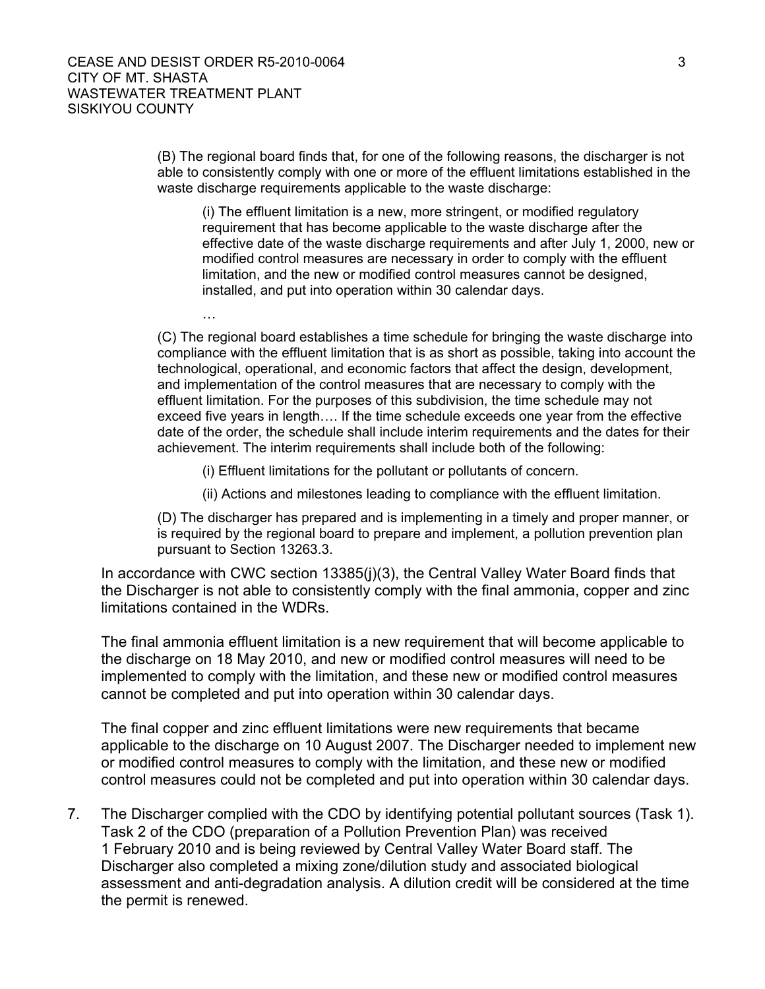…

(B) The regional board finds that, for one of the following reasons, the discharger is not able to consistently comply with one or more of the effluent limitations established in the waste discharge requirements applicable to the waste discharge:

(i) The effluent limitation is a new, more stringent, or modified regulatory requirement that has become applicable to the waste discharge after the effective date of the waste discharge requirements and after July 1, 2000, new or modified control measures are necessary in order to comply with the effluent limitation, and the new or modified control measures cannot be designed, installed, and put into operation within 30 calendar days.

(C) The regional board establishes a time schedule for bringing the waste discharge into compliance with the effluent limitation that is as short as possible, taking into account the technological, operational, and economic factors that affect the design, development, and implementation of the control measures that are necessary to comply with the effluent limitation. For the purposes of this subdivision, the time schedule may not exceed five years in length…. If the time schedule exceeds one year from the effective date of the order, the schedule shall include interim requirements and the dates for their achievement. The interim requirements shall include both of the following:

(i) Effluent limitations for the pollutant or pollutants of concern.

(ii) Actions and milestones leading to compliance with the effluent limitation.

(D) The discharger has prepared and is implementing in a timely and proper manner, or is required by the regional board to prepare and implement, a pollution prevention plan pursuant to Section 13263.3.

In accordance with CWC section 13385(j)(3), the Central Valley Water Board finds that the Discharger is not able to consistently comply with the final ammonia, copper and zinc limitations contained in the WDRs.

The final ammonia effluent limitation is a new requirement that will become applicable to the discharge on 18 May 2010, and new or modified control measures will need to be implemented to comply with the limitation, and these new or modified control measures cannot be completed and put into operation within 30 calendar days.

The final copper and zinc effluent limitations were new requirements that became applicable to the discharge on 10 August 2007. The Discharger needed to implement new or modified control measures to comply with the limitation, and these new or modified control measures could not be completed and put into operation within 30 calendar days.

7. The Discharger complied with the CDO by identifying potential pollutant sources (Task 1). Task 2 of the CDO (preparation of a Pollution Prevention Plan) was received 1 February 2010 and is being reviewed by Central Valley Water Board staff. The Discharger also completed a mixing zone/dilution study and associated biological assessment and anti-degradation analysis. A dilution credit will be considered at the time the permit is renewed.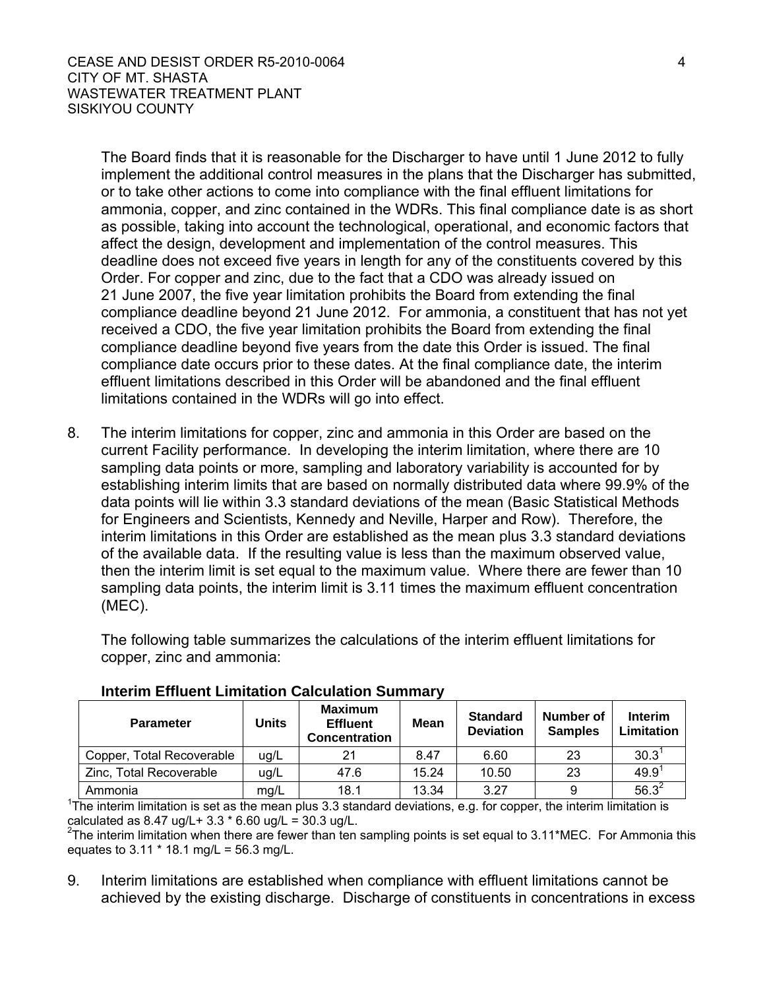The Board finds that it is reasonable for the Discharger to have until 1 June 2012 to fully implement the additional control measures in the plans that the Discharger has submitted, or to take other actions to come into compliance with the final effluent limitations for ammonia, copper, and zinc contained in the WDRs. This final compliance date is as short as possible, taking into account the technological, operational, and economic factors that affect the design, development and implementation of the control measures. This deadline does not exceed five years in length for any of the constituents covered by this Order. For copper and zinc, due to the fact that a CDO was already issued on 21 June 2007, the five year limitation prohibits the Board from extending the final compliance deadline beyond 21 June 2012. For ammonia, a constituent that has not yet received a CDO, the five year limitation prohibits the Board from extending the final compliance deadline beyond five years from the date this Order is issued. The final compliance date occurs prior to these dates. At the final compliance date, the interim effluent limitations described in this Order will be abandoned and the final effluent limitations contained in the WDRs will go into effect.

8. The interim limitations for copper, zinc and ammonia in this Order are based on the current Facility performance. In developing the interim limitation, where there are 10 sampling data points or more, sampling and laboratory variability is accounted for by establishing interim limits that are based on normally distributed data where 99.9% of the data points will lie within 3.3 standard deviations of the mean (Basic Statistical Methods for Engineers and Scientists, Kennedy and Neville, Harper and Row). Therefore, the interim limitations in this Order are established as the mean plus 3.3 standard deviations of the available data. If the resulting value is less than the maximum observed value, then the interim limit is set equal to the maximum value. Where there are fewer than 10 sampling data points, the interim limit is 3.11 times the maximum effluent concentration (MEC).

The following table summarizes the calculations of the interim effluent limitations for copper, zinc and ammonia:

| <b>Parameter</b>          | Units | <b>Maximum</b><br><b>Effluent</b><br><b>Concentration</b> | <b>Mean</b> | <b>Standard</b><br><b>Deviation</b> | Number of<br><b>Samples</b> | <b>Interim</b><br>Limitation |
|---------------------------|-------|-----------------------------------------------------------|-------------|-------------------------------------|-----------------------------|------------------------------|
| Copper, Total Recoverable | ug/L  | 21                                                        | 8.47        | 6.60                                | 23                          | 30.3 <sup>1</sup>            |
| Zinc, Total Recoverable   | ug/L  | 47.6                                                      | 15.24       | 10.50                               | 23                          | $49.9^{1}$                   |
| Ammonia                   | mg/L  | 18.1                                                      | 13.34       | 3.27                                | 9                           | $56.3^2$                     |

### **Interim Effluent Limitation Calculation Summary**

<sup>1</sup>The interim limitation is set as the mean plus 3.3 standard deviations, e.g. for copper, the interim limitation is calculated as  $8.47$  ug/L +  $3.3$  \*  $6.60$  ug/L =  $30.3$  ug/L.

<sup>2</sup>The interim limitation when there are fewer than ten sampling points is set equal to  $3.11$ \*MEC. For Ammonia this equates to 3.11 \* 18.1 mg/L = 56.3 mg/L.

9. Interim limitations are established when compliance with effluent limitations cannot be achieved by the existing discharge. Discharge of constituents in concentrations in excess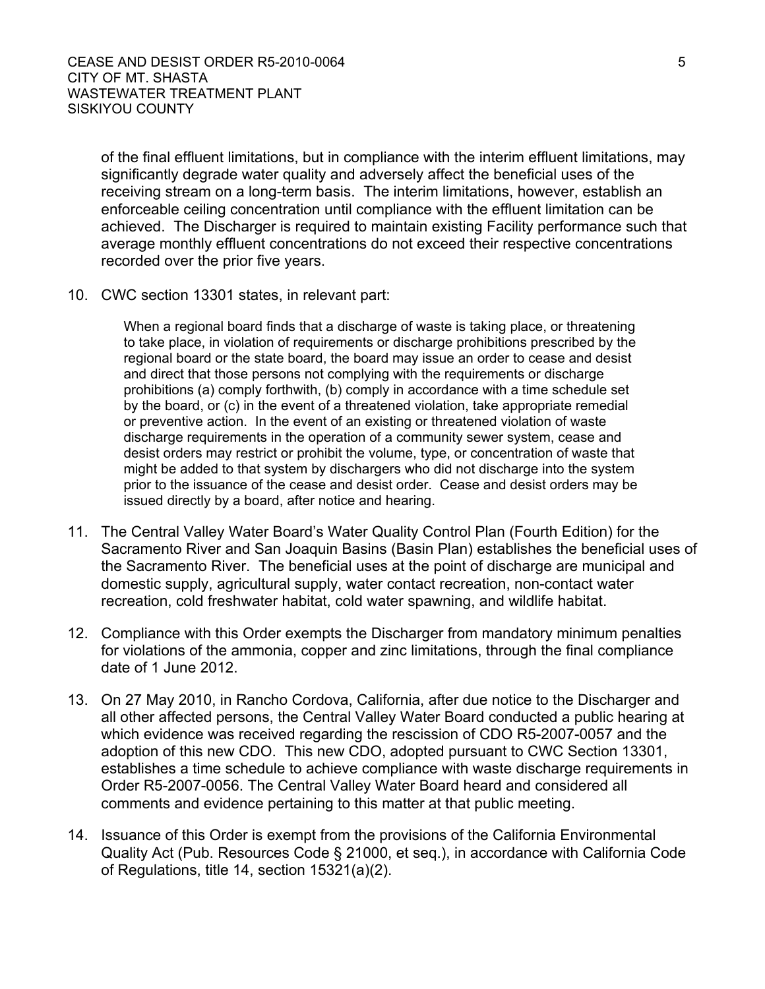of the final effluent limitations, but in compliance with the interim effluent limitations, may significantly degrade water quality and adversely affect the beneficial uses of the receiving stream on a long-term basis. The interim limitations, however, establish an enforceable ceiling concentration until compliance with the effluent limitation can be achieved. The Discharger is required to maintain existing Facility performance such that average monthly effluent concentrations do not exceed their respective concentrations recorded over the prior five years.

10. CWC section 13301 states, in relevant part:

When a regional board finds that a discharge of waste is taking place, or threatening to take place, in violation of requirements or discharge prohibitions prescribed by the regional board or the state board, the board may issue an order to cease and desist and direct that those persons not complying with the requirements or discharge prohibitions (a) comply forthwith, (b) comply in accordance with a time schedule set by the board, or (c) in the event of a threatened violation, take appropriate remedial or preventive action. In the event of an existing or threatened violation of waste discharge requirements in the operation of a community sewer system, cease and desist orders may restrict or prohibit the volume, type, or concentration of waste that might be added to that system by dischargers who did not discharge into the system prior to the issuance of the cease and desist order. Cease and desist orders may be issued directly by a board, after notice and hearing.

- 11. The Central Valley Water Board's Water Quality Control Plan (Fourth Edition) for the Sacramento River and San Joaquin Basins (Basin Plan) establishes the beneficial uses of the Sacramento River. The beneficial uses at the point of discharge are municipal and domestic supply, agricultural supply, water contact recreation, non-contact water recreation, cold freshwater habitat, cold water spawning, and wildlife habitat.
- 12. Compliance with this Order exempts the Discharger from mandatory minimum penalties for violations of the ammonia, copper and zinc limitations, through the final compliance date of 1 June 2012.
- 13. On 27 May 2010, in Rancho Cordova, California, after due notice to the Discharger and all other affected persons, the Central Valley Water Board conducted a public hearing at which evidence was received regarding the rescission of CDO R5-2007-0057 and the adoption of this new CDO. This new CDO, adopted pursuant to CWC Section 13301, establishes a time schedule to achieve compliance with waste discharge requirements in Order R5-2007-0056. The Central Valley Water Board heard and considered all comments and evidence pertaining to this matter at that public meeting.
- 14. Issuance of this Order is exempt from the provisions of the California Environmental Quality Act (Pub. Resources Code § 21000, et seq.), in accordance with California Code of Regulations, title 14, section 15321(a)(2).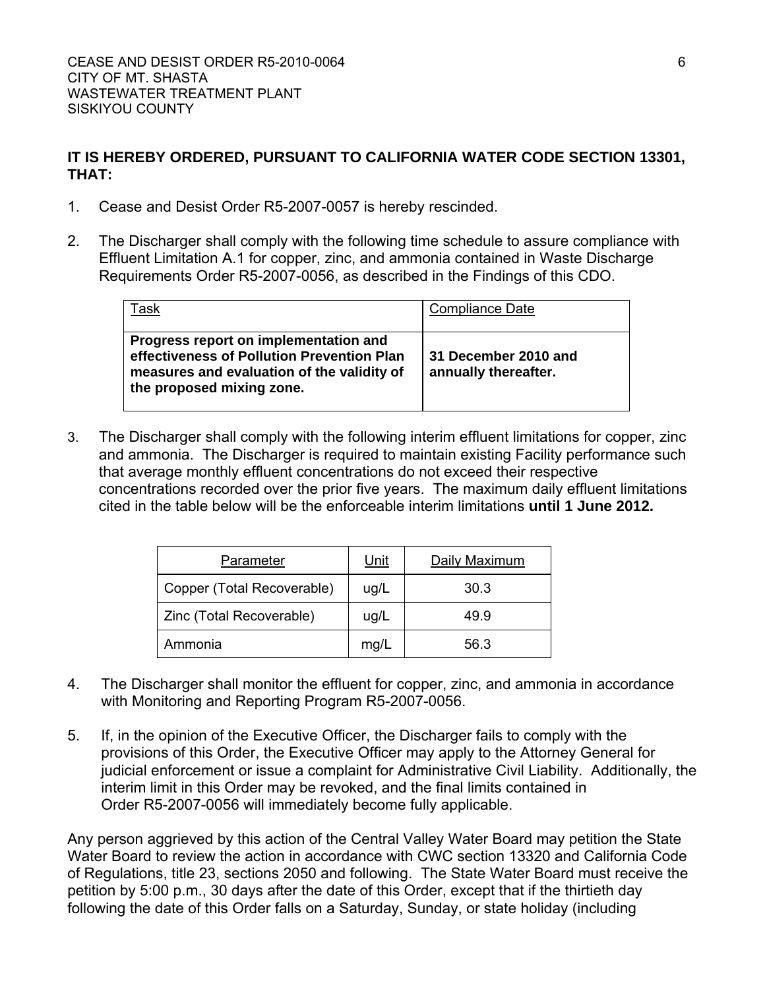# **IT IS HEREBY ORDERED, PURSUANT TO CALIFORNIA WATER CODE SECTION 13301, THAT:**

- 1. Cease and Desist Order R5-2007-0057 is hereby rescinded.
- 2. The Discharger shall comply with the following time schedule to assure compliance with Effluent Limitation A.1 for copper, zinc, and ammonia contained in Waste Discharge Requirements Order R5-2007-0056, as described in the Findings of this CDO.

| Task                                                                                                                                                           | <b>Compliance Date</b>                       |
|----------------------------------------------------------------------------------------------------------------------------------------------------------------|----------------------------------------------|
| Progress report on implementation and<br>effectiveness of Pollution Prevention Plan<br>measures and evaluation of the validity of<br>the proposed mixing zone. | 31 December 2010 and<br>annually thereafter. |

3. The Discharger shall comply with the following interim effluent limitations for copper, zinc and ammonia. The Discharger is required to maintain existing Facility performance such that average monthly effluent concentrations do not exceed their respective concentrations recorded over the prior five years. The maximum daily effluent limitations cited in the table below will be the enforceable interim limitations **until 1 June 2012.**

| Parameter                  | <u>Unit</u> | Daily Maximum |
|----------------------------|-------------|---------------|
| Copper (Total Recoverable) | uq/L        | 30.3          |
| Zinc (Total Recoverable)   | ug/L        | 49.9          |
| Ammonia                    | mg/L        | 56.3          |

- 4. The Discharger shall monitor the effluent for copper, zinc, and ammonia in accordance with Monitoring and Reporting Program R5-2007-0056.
- 5. If, in the opinion of the Executive Officer, the Discharger fails to comply with the provisions of this Order, the Executive Officer may apply to the Attorney General for judicial enforcement or issue a complaint for Administrative Civil Liability. Additionally, the interim limit in this Order may be revoked, and the final limits contained in Order R5-2007-0056 will immediately become fully applicable.

Any person aggrieved by this action of the Central Valley Water Board may petition the State Water Board to review the action in accordance with CWC section 13320 and California Code of Regulations, title 23, sections 2050 and following. The State Water Board must receive the petition by 5:00 p.m., 30 days after the date of this Order, except that if the thirtieth day following the date of this Order falls on a Saturday, Sunday, or state holiday (including